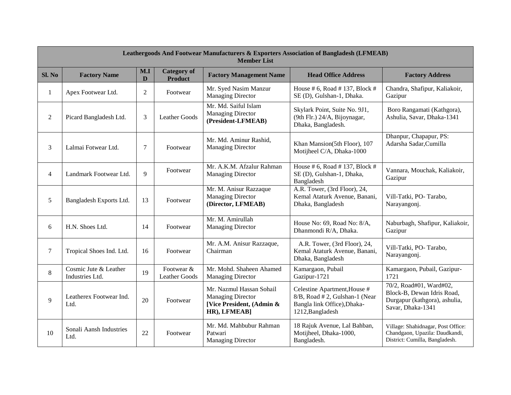|                | <b>Leathergoods And Footwear Manufacturers &amp; Exporters Association of Bangladesh (LFMEAB)</b><br><b>Member List</b> |                |                                      |                                                                                                   |                                                                                                                  |                                                                                                             |  |  |  |
|----------------|-------------------------------------------------------------------------------------------------------------------------|----------------|--------------------------------------|---------------------------------------------------------------------------------------------------|------------------------------------------------------------------------------------------------------------------|-------------------------------------------------------------------------------------------------------------|--|--|--|
| Sl. No         | <b>Factory Name</b>                                                                                                     | M.I<br>D       | <b>Category</b> of<br><b>Product</b> | <b>Factory Management Name</b>                                                                    | <b>Head Office Address</b>                                                                                       | <b>Factory Address</b>                                                                                      |  |  |  |
| 1              | Apex Footwear Ltd.                                                                                                      | $\overline{2}$ | Footwear                             | Mr. Syed Nasim Manzur<br><b>Managing Director</b>                                                 | House # 6, Road # 137, Block #<br>SE (D), Gulshan-1, Dhaka.                                                      | Chandra, Shafipur, Kaliakoir,<br>Gazipur                                                                    |  |  |  |
| $\overline{2}$ | Picard Bangladesh Ltd.                                                                                                  | 3              | <b>Leather Goods</b>                 | Mr. Md. Saiful Islam<br><b>Managing Director</b><br>(President-LFMEAB)                            | Skylark Point, Suite No. 9J1,<br>(9th Flr.) 24/A, Bijoynagar,<br>Dhaka, Bangladesh.                              | Boro Rangamati (Kathgora),<br>Ashulia, Savar, Dhaka-1341                                                    |  |  |  |
| 3              | Lalmai Fotwear Ltd.                                                                                                     | 7              | Footwear                             | Mr. Md. Aminur Rashid,<br><b>Managing Director</b>                                                | Khan Mansion(5th Floor), 107<br>Motijheel C/A, Dhaka-1000                                                        | Dhanpur, Chapapur, PS:<br>Adarsha Sadar, Cumilla                                                            |  |  |  |
| $\overline{4}$ | Landmark Footwear Ltd.                                                                                                  | $\overline{Q}$ | Footwear                             | Mr. A.K.M. Afzalur Rahman<br><b>Managing Director</b>                                             | House # 6, Road # 137, Block #<br>SE (D), Gulshan-1, Dhaka,<br>Bangladesh                                        | Vannara, Mouchak, Kaliakoir,<br>Gazipur                                                                     |  |  |  |
| 5              | Bangladesh Exports Ltd.                                                                                                 | 13             | Footwear                             | Mr. M. Anisur Razzaque<br><b>Managing Director</b><br>(Director, LFMEAB)                          | A.R. Tower, (3rd Floor), 24,<br>Kemal Ataturk Avenue, Banani,<br>Dhaka, Bangladesh                               | Vill-Tatki, PO-Tarabo,<br>Narayangonj.                                                                      |  |  |  |
| 6              | H.N. Shoes Ltd.                                                                                                         | 14             | Footwear                             | Mr. M. Amirullah<br><b>Managing Director</b>                                                      | House No: 69, Road No: 8/A,<br>Dhanmondi R/A, Dhaka.                                                             | Naburbagh, Shafipur, Kaliakoir,<br>Gazipur                                                                  |  |  |  |
| $\tau$         | Tropical Shoes Ind. Ltd.                                                                                                | 16             | Footwear                             | Mr. A.M. Anisur Razzaque,<br>Chairman                                                             | A.R. Tower, (3rd Floor), 24,<br>Kemal Ataturk Avenue, Banani,<br>Dhaka, Bangladesh                               | Vill-Tatki, PO-Tarabo,<br>Narayangonj.                                                                      |  |  |  |
| 8              | Cosmic Jute & Leather<br>Industries Ltd.                                                                                | 19             | Footwear &<br>Leather Goods          | Mr. Mohd. Shaheen Ahamed<br><b>Managing Director</b>                                              | Kamargaon, Pubail<br>Gazipur-1721                                                                                | Kamargaon, Pubail, Gazipur-<br>1721                                                                         |  |  |  |
| 9              | Leatherex Footwear Ind.<br>Ltd.                                                                                         | 20             | Footwear                             | Mr. Nazmul Hassan Sohail<br><b>Managing Director</b><br>[Vice President, (Admin &<br>HR), LFMEAB] | Celestine Apartment, House #<br>8/B, Road #2, Gulshan-1 (Near<br>Bangla link Office), Dhaka-<br>1212, Bangladesh | 70/2, Road#01, Ward#02,<br>Block-B, Dewan Idris Road,<br>Durgapur (kathgora), ashulia,<br>Savar, Dhaka-1341 |  |  |  |
| 10             | Sonali Aansh Industries<br>Ltd.                                                                                         | 22             | Footwear                             | Mr. Md. Mahbubur Rahman<br>Patwari<br><b>Managing Director</b>                                    | 18 Rajuk Avenue, Lal Bahban,<br>Motijheel, Dhaka-1000,<br>Bangladesh.                                            | Village: Shahidnagar, Post Office:<br>Chandgaon, Upazila: Daudkandi,<br>District: Cumilla, Bangladesh.      |  |  |  |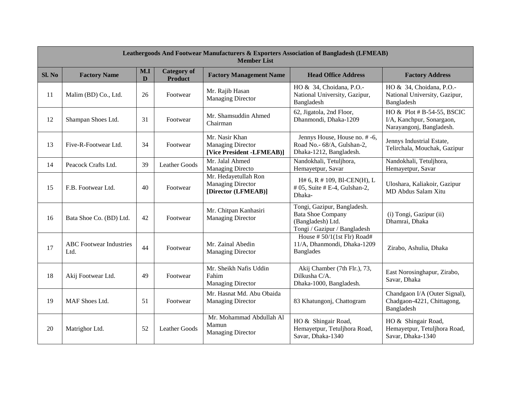|        | <b>Leathergoods And Footwear Manufacturers &amp; Exporters Association of Bangladesh (LFMEAB)</b><br><b>Member List</b> |          |                                      |                                                                         |                                                                                                              |                                                                                     |  |  |  |
|--------|-------------------------------------------------------------------------------------------------------------------------|----------|--------------------------------------|-------------------------------------------------------------------------|--------------------------------------------------------------------------------------------------------------|-------------------------------------------------------------------------------------|--|--|--|
| Sl. No | <b>Factory Name</b>                                                                                                     | M.I<br>D | <b>Category of</b><br><b>Product</b> | <b>Factory Management Name</b>                                          | <b>Head Office Address</b>                                                                                   | <b>Factory Address</b>                                                              |  |  |  |
| 11     | Malim (BD) Co., Ltd.                                                                                                    | 26       | Footwear                             | Mr. Rajib Hasan<br><b>Managing Director</b>                             | HO & 34, Choidana, P.O.-<br>National University, Gazipur,<br>Bangladesh                                      | HO & 34, Choidana, P.O.-<br>National University, Gazipur,<br>Bangladesh             |  |  |  |
| 12     | Shampan Shoes Ltd.                                                                                                      | 31       | Footwear                             | Mr. Shamsuddin Ahmed<br>Chairman                                        | 62, Jigatola, 2nd Floor,<br>Dhanmondi, Dhaka-1209                                                            | HO & Plot # B-54-55, BSCIC<br>I/A, Kanchpur, Sonargaon,<br>Narayangonj, Bangladesh. |  |  |  |
| 13     | Five-R-Footwear Ltd.                                                                                                    | 34       | Footwear                             | Mr. Nasir Khan<br><b>Managing Director</b><br>[Vice President -LFMEAB)] | Jennys House, House no. # -6,<br>Road No.- 68/A, Gulshan-2,<br>Dhaka-1212, Bangladesh.                       | Jennys Industrial Estate,<br>Telirchala, Mouchak, Gazipur                           |  |  |  |
| 14     | Peacock Crafts Ltd.                                                                                                     | 39       | <b>Leather Goods</b>                 | Mr. Jalal Ahmed<br><b>Managing Directo</b>                              | Nandokhali, Tetuljhora,<br>Hemayetpur, Savar                                                                 | Nandokhali, Tetuljhora,<br>Hemayetpur, Savar                                        |  |  |  |
| 15     | F.B. Footwear Ltd.                                                                                                      | 40       | Footwear                             | Mr. Hedayetullah Ron<br><b>Managing Director</b><br>[Director (LFMEAB)] | H# 6, R # 109, B1-CEN(H), L<br>$# 05$ , Suite $# E-4$ , Gulshan-2,<br>Dhaka-                                 | Uloshara, Kaliakoir, Gazipur<br>MD Abdus Salam Xitu                                 |  |  |  |
| 16     | Bata Shoe Co. (BD) Ltd.                                                                                                 | 42       | Footwear                             | Mr. Chitpan Kanhasiri<br><b>Managing Director</b>                       | Tongi, Gazipur, Bangladesh.<br><b>Bata Shoe Company</b><br>(Bangladesh) Ltd.<br>Tongi / Gazipur / Bangladesh | (i) Tongi, Gazipur (ii)<br>Dhamrai, Dhaka                                           |  |  |  |
| 17     | <b>ABC</b> Footwear Industries<br>Ltd.                                                                                  | 44       | Footwear                             | Mr. Zainal Abedin<br><b>Managing Director</b>                           | House # $50/1(1st$ Flr) Road#<br>11/A, Dhanmondi, Dhaka-1209<br><b>Banglades</b>                             | Zirabo, Ashulia, Dhaka                                                              |  |  |  |
| 18     | Akij Footwear Ltd.                                                                                                      | 49       | Footwear                             | Mr. Sheikh Nafis Uddin<br>Fahim<br><b>Managing Director</b>             | Akij Chamber (7th Flr.), 73,<br>Dilkusha C/A.<br>Dhaka-1000, Bangladesh.                                     | East Norosinghapur, Zirabo,<br>Savar, Dhaka                                         |  |  |  |
| 19     | MAF Shoes Ltd.                                                                                                          | 51       | Footwear                             | Mr. Hasnat Md. Abu Obaida<br><b>Managing Director</b>                   | 83 Khatungonj, Chattogram                                                                                    | Chandgaon I/A (Outer Signal),<br>Chadgaon-4221, Chittagong,<br>Bangladesh           |  |  |  |
| 20     | Matrighor Ltd.                                                                                                          | 52       | <b>Leather Goods</b>                 | Mr. Mohammad Abdullah Al<br>Mamun<br><b>Managing Director</b>           | HO & Shingair Road,<br>Hemayetpur, Tetuljhora Road,<br>Savar, Dhaka-1340                                     | HO & Shingair Road,<br>Hemayetpur, Tetuljhora Road,<br>Savar, Dhaka-1340            |  |  |  |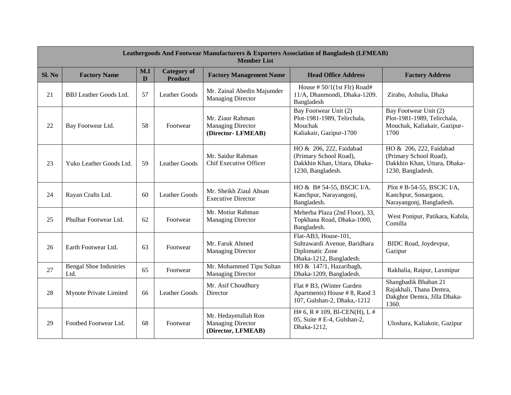|        | <b>Leathergoods And Footwear Manufacturers &amp; Exporters Association of Bangladesh (LFMEAB)</b><br><b>Member List</b> |          |                                      |                                                                        |                                                                                                        |                                                                                                        |  |  |  |
|--------|-------------------------------------------------------------------------------------------------------------------------|----------|--------------------------------------|------------------------------------------------------------------------|--------------------------------------------------------------------------------------------------------|--------------------------------------------------------------------------------------------------------|--|--|--|
| SI. No | <b>Factory Name</b>                                                                                                     | M.I<br>D | <b>Category of</b><br><b>Product</b> | <b>Factory Management Name</b>                                         | <b>Head Office Address</b>                                                                             | <b>Factory Address</b>                                                                                 |  |  |  |
| 21     | <b>BBJ</b> Leather Goods Ltd.                                                                                           | 57       | Leather Goods                        | Mr. Zainal Abedin Majumder<br><b>Managing Director</b>                 | House # $50/1(1st$ Flr) Road#<br>11/A, Dhanmondi, Dhaka-1209.<br>Bangladesh                            | Zirabo, Ashulia, Dhaka                                                                                 |  |  |  |
| 22     | Bay Footwear Ltd.                                                                                                       | 58       | Footwear                             | Mr. Ziaur Rahman<br><b>Managing Director</b><br>(Director-LFMEAB)      | Bay Footwear Unit (2)<br>Plot-1981-1989, Telirchala,<br>Mouchak<br>Kaliakair, Gazipur-1700             | Bay Footwear Unit (2)<br>Plot-1981-1989, Telirchala,<br>Mouchak, Kaliakair, Gazipur-<br>1700           |  |  |  |
| 23     | Yuko Leather Goods Ltd.                                                                                                 | 59       | Leather Goods                        | Mr. Saidur Rahman<br>Chif Executive Officer                            | HO & 206, 222, Faidabad<br>(Primary School Road),<br>Dakkhin Khan, Uttara, Dhaka-<br>1230, Bangladesh. | HO & 206, 222, Faidabad<br>(Primary School Road),<br>Dakkhin Khan, Uttara, Dhaka-<br>1230, Bangladesh. |  |  |  |
| 24     | Rayan Crafts Ltd.                                                                                                       | 60       | Leather Goods                        | Mr. Sheikh Ziaul Ahsan<br><b>Executive Director</b>                    | HO & B# 54-55, BSCIC I/A.<br>Kanchpur, Narayangonj,<br>Bangladesh.                                     | Plot # B-54-55, BSCIC I/A,<br>Kanchpur, Sonargaon,<br>Narayangonj, Bangladesh.                         |  |  |  |
| 25     | Phulhar Footwear Ltd.                                                                                                   | 62       | Footwear                             | Mr. Motiur Rahman<br>Managing Director                                 | Meherba Plaza (2nd Floor), 33,<br>Topkhana Road, Dhaka-1000,<br>Bangladesh.                            | West Ponipur, Patikara, Kabila,<br>Comilla                                                             |  |  |  |
| 26     | Earth Footwear Ltd.                                                                                                     | 63       | Footwear                             | Mr. Faruk Ahmed<br>Managing Director                                   | Flat-AB3, House-101,<br>Suhrawardi Avenue, Baridhara<br>Diplomatic Zone<br>Dhaka-1212, Bangladesh.     | BIDC Road, Joydevpur,<br>Gazipur                                                                       |  |  |  |
| 27     | <b>Bengal Shoe Industries</b><br>Ltd.                                                                                   | 65       | Footwear                             | Mr. Mohammed Tipu Sultan<br><b>Managing Director</b>                   | HO & 147/1, Hazaribagh,<br>Dhaka-1209, Bangladesh.                                                     | Rakhalia, Raipur, Laxmipur                                                                             |  |  |  |
| 28     | Mynote Private Limited                                                                                                  | 66       | Leather Goods                        | Mr. Asif Choudhury<br>Director                                         | Flat # B3, (Winter Garden<br>Apartments) House #8, Raod 3<br>107, Gulshan-2, Dhaka,-1212               | Shangbadik Bhaban 21<br>Rajakhali, Thana Demra,<br>Dakghor Demra, Jilla Dhaka-<br>1360.                |  |  |  |
| 29     | Footbed Footwear Ltd.                                                                                                   | 68       | Footwear                             | Mr. Hedayetullah Ron<br><b>Managing Director</b><br>(Director, LFMEAB) | H# 6, R # 109, B1-CEN(H), L #<br>05, Suite # E-4, Gulshan-2,<br>Dhaka-1212,                            | Uloshara, Kaliakoir, Gazipur                                                                           |  |  |  |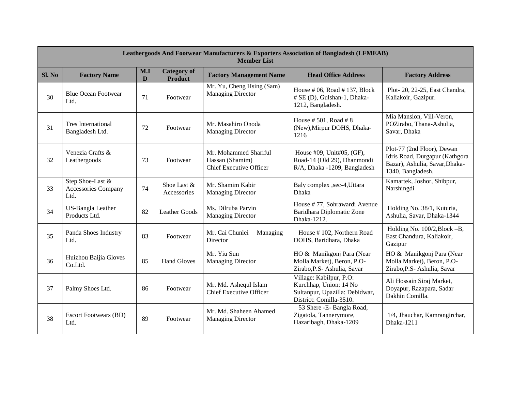|        | <b>Leathergoods And Footwear Manufacturers &amp; Exporters Association of Bangladesh (LFMEAB)</b><br><b>Member List</b> |          |                                      |                                                                            |                                                                                                                |                                                                                                                     |  |  |  |
|--------|-------------------------------------------------------------------------------------------------------------------------|----------|--------------------------------------|----------------------------------------------------------------------------|----------------------------------------------------------------------------------------------------------------|---------------------------------------------------------------------------------------------------------------------|--|--|--|
| Sl. No | <b>Factory Name</b>                                                                                                     | M.I<br>D | <b>Category of</b><br><b>Product</b> | <b>Factory Management Name</b>                                             | <b>Head Office Address</b>                                                                                     | <b>Factory Address</b>                                                                                              |  |  |  |
| 30     | <b>Blue Ocean Footwear</b><br>Ltd.                                                                                      | 71       | Footwear                             | Mr. Yu, Cheng Hsing (Sam)<br><b>Managing Director</b>                      | House $#06$ , Road $#137$ , Block<br># SE (D), Gulshan-1, Dhaka-<br>1212, Bangladesh.                          | Plot-20, 22-25, East Chandra,<br>Kaliakoir, Gazipur.                                                                |  |  |  |
| 31     | <b>Tres International</b><br>Bangladesh Ltd.                                                                            | 72       | Footwear                             | Mr. Masahiro Onoda<br>Managing Director                                    | House $# 501$ , Road $# 8$<br>(New), Mirpur DOHS, Dhaka-<br>1216                                               | Mia Mansion, Vill-Veron,<br>POZirabo, Thana-Ashulia,<br>Savar, Dhaka                                                |  |  |  |
| 32     | Venezia Crafts &<br>Leathergoods                                                                                        | 73       | Footwear                             | Mr. Mohammed Shariful<br>Hassan (Shamim)<br><b>Chief Executive Officer</b> | House #09, Unit#05, (GF),<br>Road-14 (Old 29), Dhanmondi<br>R/A, Dhaka -1209, Bangladesh                       | Plot-77 (2nd Floor), Dewan<br>Idris Road, Durgapur (Kathgora<br>Bazar), Ashulia, Savar, Dhaka-<br>1340, Bangladesh. |  |  |  |
| 33     | Step Shoe-Last &<br>Accessories Company<br>Ltd.                                                                         | 74       | Shoe Last &<br>Accessories           | Mr. Shamim Kabir<br>Managing Director                                      | Baly complex , sec-4, Uttara<br>Dhaka                                                                          | Kamartek, Joshor, Shibpur,<br>Narshingdi                                                                            |  |  |  |
| 34     | US-Bangla Leather<br>Products Ltd.                                                                                      | 82       | <b>Leather Goods</b>                 | Ms. Dilruba Parvin<br><b>Managing Director</b>                             | House #77, Sohrawardi Avenue<br>Baridhara Diplomatic Zone<br>Dhaka-1212.                                       | Holding No. 38/1, Kuturia,<br>Ashulia, Savar, Dhaka-1344                                                            |  |  |  |
| 35     | Panda Shoes Industry<br>Ltd.                                                                                            | 83       | Footwear                             | Mr. Cai Chunlei<br>Managing<br>Director                                    | House #102, Northern Road<br>DOHS, Baridhara, Dhaka                                                            | Holding No. 100/2, Block -B,<br>East Chandura, Kaliakoir,<br>Gazipur                                                |  |  |  |
| 36     | Huizhou Baijia Gloves<br>Co.Ltd.                                                                                        | 85       | <b>Hand Gloves</b>                   | Mr. Yiu Sun<br>Managing Director                                           | HO & Manikgonj Para (Near<br>Molla Market), Beron, P.O-<br>Zirabo, P.S- Ashulia, Savar                         | HO & Manikgonj Para (Near<br>Molla Market), Beron, P.O-<br>Zirabo, P.S- Ashulia, Savar                              |  |  |  |
| 37     | Palmy Shoes Ltd.                                                                                                        | 86       | Footwear                             | Mr. Md. Ashequl Islam<br><b>Chief Executive Officer</b>                    | Village: Kabilpur, P.O:<br>Kurchhap, Union: 14 No<br>Sultanpur, Upazilla: Debidwar,<br>District: Comilla-3510. | Ali Hossain Siraj Market,<br>Doyapur, Razapara, Sadar<br>Dakhin Comilla.                                            |  |  |  |
| 38     | <b>Escort Footwears (BD)</b><br>Ltd.                                                                                    | 89       | Footwear                             | Mr. Md. Shaheen Ahamed<br>Managing Director                                | 53 Shere - E- Bangla Road,<br>Zigatola, Tannerymore,<br>Hazaribagh, Dhaka-1209                                 | 1/4, Jhauchar, Kamrangirchar,<br>Dhaka-1211                                                                         |  |  |  |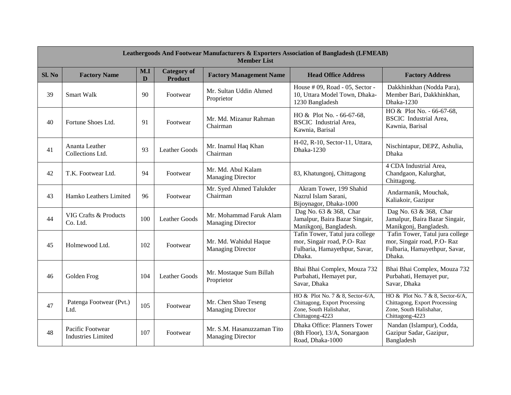|        | <b>Leathergoods And Footwear Manufacturers &amp; Exporters Association of Bangladesh (LFMEAB)</b><br><b>Member List</b> |          |                                      |                                                        |                                                                                                                 |                                                                                                                 |  |  |  |
|--------|-------------------------------------------------------------------------------------------------------------------------|----------|--------------------------------------|--------------------------------------------------------|-----------------------------------------------------------------------------------------------------------------|-----------------------------------------------------------------------------------------------------------------|--|--|--|
| SI. No | <b>Factory Name</b>                                                                                                     | M.I<br>D | <b>Category</b> of<br><b>Product</b> | <b>Factory Management Name</b>                         | <b>Head Office Address</b>                                                                                      | <b>Factory Address</b>                                                                                          |  |  |  |
| 39     | Smart Walk                                                                                                              | 90       | Footwear                             | Mr. Sultan Uddin Ahmed<br>Proprietor                   | House # 09, Road - 05, Sector -<br>10, Uttara Model Town, Dhaka-<br>1230 Bangladesh                             | Dakkhinkhan (Nodda Para),<br>Member Bari, Dakkhinkhan,<br>Dhaka-1230                                            |  |  |  |
| 40     | Fortune Shoes Ltd.                                                                                                      | 91       | Footwear                             | Mr. Md. Mizanur Rahman<br>Chairman                     | HO & Plot No. - 66-67-68,<br><b>BSCIC</b> Industrial Area,<br>Kawnia, Barisal                                   | HO & Plot No. - 66-67-68,<br><b>BSCIC</b> Industrial Area,<br>Kawnia, Barisal                                   |  |  |  |
| 41     | Ananta Leather<br>Collections Ltd.                                                                                      | 93       | <b>Leather Goods</b>                 | Mr. Inamul Haq Khan<br>Chairman                        | H-02, R-10, Sector-11, Uttara,<br>Dhaka-1230                                                                    | Nischintapur, DEPZ, Ashulia,<br>Dhaka                                                                           |  |  |  |
| 42     | T.K. Footwear Ltd.                                                                                                      | 94       | Footwear                             | Mr. Md. Abul Kalam<br><b>Managing Director</b>         | 83, Khatungonj, Chittagong                                                                                      | 4 CDA Industrial Area,<br>Chandgaon, Kalurghat,<br>Chittagong.                                                  |  |  |  |
| 43     | Hamko Leathers Limited                                                                                                  | 96       | Footwear                             | Mr. Syed Ahmed Talukder<br>Chairman                    | Akram Tower, 199 Shahid<br>Nazrul Islam Sarani,<br>Bijoynagor, Dhaka-1000                                       | Andarmanik, Mouchak,<br>Kaliakoir, Gazipur                                                                      |  |  |  |
| 44     | VIG Crafts & Products<br>Co. Ltd.                                                                                       | 100      | <b>Leather Goods</b>                 | Mr. Mohammad Faruk Alam<br><b>Managing Director</b>    | Dag No. 63 & 368, Char<br>Jamalpur, Baira Bazar Singair,<br>Manikgonj, Bangladesh.                              | Dag No. 63 & 368, Char<br>Jamalpur, Baira Bazar Singair,<br>Manikgonj, Bangladesh.                              |  |  |  |
| 45     | Holmewood Ltd.                                                                                                          | 102      | Footwear                             | Mr. Md. Wahidul Haque<br><b>Managing Director</b>      | Tafin Tower, Tatul jura college<br>mor, Singair road, P.O-Raz<br>Fulbaria, Hamayethpur, Savar,<br>Dhaka.        | Tafin Tower, Tatul jura college<br>mor, Singair road, P.O- Raz<br>Fulbaria, Hamayethpur, Savar,<br>Dhaka.       |  |  |  |
| 46     | Golden Frog                                                                                                             | 104      | Leather Goods                        | Mr. Mostaque Sum Billah<br>Proprietor                  | Bhai Bhai Complex, Mouza 732<br>Purbahati, Hemayet pur,<br>Savar, Dhaka                                         | Bhai Bhai Complex, Mouza 732<br>Purbahati, Hemayet pur,<br>Savar, Dhaka                                         |  |  |  |
| 47     | Patenga Footwear (Pvt.)<br>Ltd.                                                                                         | 105      | Footwear                             | Mr. Chen Shao Teseng<br><b>Managing Director</b>       | HO & Plot No. 7 & 8, Sector-6/A,<br>Chittagong, Export Processing<br>Zone, South Halishahar,<br>Chittagong-4223 | HO & Plot No. 7 & 8, Sector-6/A,<br>Chittagong, Export Processing<br>Zone, South Halishahar,<br>Chittagong-4223 |  |  |  |
| 48     | Pacific Footwear<br><b>Industries Limited</b>                                                                           | 107      | Footwear                             | Mr. S.M. Hasanuzzaman Tito<br><b>Managing Director</b> | Dhaka Office: Planners Tower<br>(8th Floor), 13/A, Sonargaon<br>Road, Dhaka-1000                                | Nandan (Islampur), Codda,<br>Gazipur Sadar, Gazipur,<br>Bangladesh                                              |  |  |  |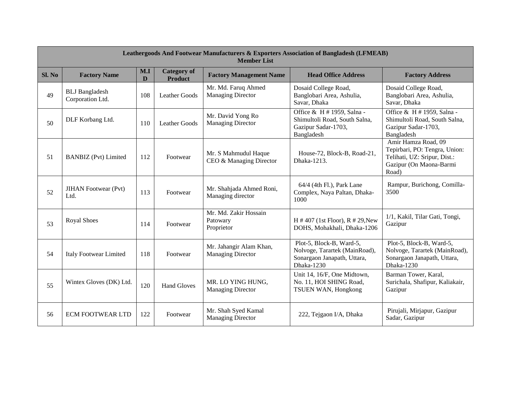|        | <b>Leathergoods And Footwear Manufacturers &amp; Exporters Association of Bangladesh (LFMEAB)</b><br><b>Member List</b> |          |                                      |                                                     |                                                                                                        |                                                                                                                          |  |  |  |
|--------|-------------------------------------------------------------------------------------------------------------------------|----------|--------------------------------------|-----------------------------------------------------|--------------------------------------------------------------------------------------------------------|--------------------------------------------------------------------------------------------------------------------------|--|--|--|
| Sl. No | <b>Factory Name</b>                                                                                                     | M.I<br>D | <b>Category of</b><br><b>Product</b> | <b>Factory Management Name</b>                      | <b>Head Office Address</b>                                                                             | <b>Factory Address</b>                                                                                                   |  |  |  |
| 49     | <b>BLJ</b> Bangladesh<br>Corporation Ltd.                                                                               | 108      | <b>Leather Goods</b>                 | Mr. Md. Faruq Ahmed<br>Managing Director            | Dosaid College Road,<br>Banglobari Area, Ashulia,<br>Savar, Dhaka                                      | Dosaid College Road,<br>Banglobari Area, Ashulia,<br>Savar, Dhaka                                                        |  |  |  |
| 50     | DLF Korbang Ltd.                                                                                                        | 110      | <b>Leather Goods</b>                 | Mr. David Yong Ro<br><b>Managing Director</b>       | Office & H # 1959, Salna -<br>Shimultoli Road, South Salna,<br>Gazipur Sadar-1703,<br>Bangladesh       | Office & H # 1959, Salna -<br>Shimultoli Road, South Salna,<br>Gazipur Sadar-1703,<br>Bangladesh                         |  |  |  |
| 51     | <b>BANBIZ</b> (Pvt) Limited                                                                                             | 112      | Footwear                             | Mr. S Mahmudul Haque<br>CEO & Managing Director     | House-72, Block-B, Road-21,<br>Dhaka-1213.                                                             | Amir Hamza Road, 09<br>Tepirbari, PO: Tengra, Union:<br>Telihati, UZ: Sripur, Dist.:<br>Gazipur (On Maona-Barmi<br>Road) |  |  |  |
| 52     | <b>JIHAN</b> Footwear (Pvt)<br>Ltd.                                                                                     | 113      | Footwear                             | Mr. Shahjada Ahmed Roni,<br>Managing director       | 64/4 (4th Fl.), Park Lane<br>Complex, Naya Paltan, Dhaka-<br>1000                                      | Rampur, Burichong, Comilla-<br>3500                                                                                      |  |  |  |
| 53     | <b>Royal Shoes</b>                                                                                                      | 114      | Footwear                             | Mr. Md. Zakir Hossain<br>Patowary<br>Proprietor     | $H \# 407$ (1st Floor), R $\# 29$ , New<br>DOHS, Mohakhali, Dhaka-1206                                 | 1/1, Kakil, Tilar Gati, Tongi,<br>Gazipur                                                                                |  |  |  |
| 54     | <b>Italy Footwear Limited</b>                                                                                           | 118      | Footwear                             | Mr. Jahangir Alam Khan,<br><b>Managing Director</b> | Plot-5, Block-B, Ward-5,<br>Nolvoge, Tarartek (MainRoad),<br>Sonargaon Janapath, Uttara,<br>Dhaka-1230 | Plot-5, Block-B, Ward-5,<br>Nolvoge, Tarartek (MainRoad),<br>Sonargaon Janapath, Uttara,<br>Dhaka-1230                   |  |  |  |
| 55     | Wintex Gloves (DK) Ltd.                                                                                                 | 120      | <b>Hand Gloves</b>                   | MR. LO YING HUNG,<br><b>Managing Director</b>       | Unit 14, 16/F, One Midtown,<br>No. 11, HOI SHING Road,<br>TSUEN WAN, Hongkong                          | Barman Tower, Karal,<br>Surichala, Shafipur, Kaliakair,<br>Gazipur                                                       |  |  |  |
| 56     | <b>ECM FOOTWEAR LTD</b>                                                                                                 | 122      | Footwear                             | Mr. Shah Syed Kamal<br><b>Managing Director</b>     | 222, Tejgaon I/A, Dhaka                                                                                | Pirujali, Mirjapur, Gazipur<br>Sadar, Gazipur                                                                            |  |  |  |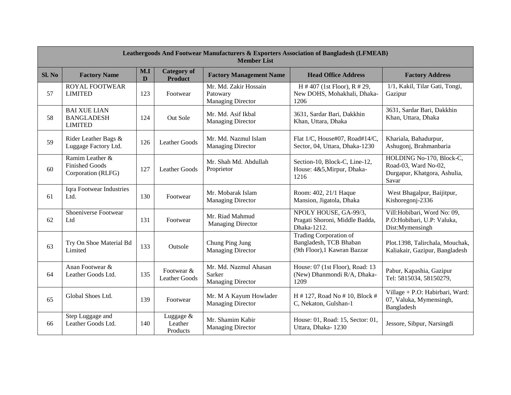|        | <b>Leathergoods And Footwear Manufacturers &amp; Exporters Association of Bangladesh (LFMEAB)</b><br><b>Member List</b> |          |                                      |                                                               |                                                                                  |                                                                                           |  |  |  |
|--------|-------------------------------------------------------------------------------------------------------------------------|----------|--------------------------------------|---------------------------------------------------------------|----------------------------------------------------------------------------------|-------------------------------------------------------------------------------------------|--|--|--|
| Sl. No | <b>Factory Name</b>                                                                                                     | M.I<br>D | <b>Category of</b><br><b>Product</b> | <b>Factory Management Name</b>                                | <b>Head Office Address</b>                                                       | <b>Factory Address</b>                                                                    |  |  |  |
| 57     | <b>ROYAL FOOTWEAR</b><br><b>LIMITED</b>                                                                                 | 123      | Footwear                             | Mr. Md. Zakir Hossain<br>Patowary<br><b>Managing Director</b> | H # 407 (1st Floor), $R \neq 29$ ,<br>New DOHS, Mohakhali, Dhaka-<br>1206        | 1/1, Kakil, Tilar Gati, Tongi,<br>Gazipur                                                 |  |  |  |
| 58     | <b>BAI XUE LIAN</b><br><b>BANGLADESH</b><br><b>LIMITED</b>                                                              | 124      | Out Sole                             | Mr. Md. Asif Ikbal<br><b>Managing Director</b>                | 3631, Sardar Bari, Dakkhin<br>Khan, Uttara, Dhaka                                | 3631, Sardar Bari, Dakkhin<br>Khan, Uttara, Dhaka                                         |  |  |  |
| 59     | Rider Leather Bags &<br>Luggage Factory Ltd.                                                                            | 126      | <b>Leather Goods</b>                 | Mr. Md. Nazmul Islam<br><b>Managing Director</b>              | Flat 1/C, House#07, Road#14/C,<br>Sector, 04, Uttara, Dhaka-1230                 | Khariala, Bahadurpur,<br>Ashugonj, Brahmanbaria                                           |  |  |  |
| 60     | Ramim Leather &<br><b>Finished Goods</b><br>Corporation (RLFG)                                                          | 127      | <b>Leather Goods</b>                 | Mr. Shah Md. Abdullah<br>Proprietor                           | Section-10, Block-C, Line-12,<br>House: 4&5, Mirpur, Dhaka-<br>1216              | HOLDING No-170, Block-C,<br>Road-03, Ward No-02,<br>Durgapur, Khatgora, Ashulia,<br>Savar |  |  |  |
| 61     | Iqra Footwear Industries<br>Ltd.                                                                                        | 130      | Footwear                             | Mr. Mobarak Islam<br><b>Managing Director</b>                 | Room: 402, 21/1 Haque<br>Mansion, Jigatola, Dhaka                                | West Bhagalpur, Baijitpur,<br>Kishoregonj-2336                                            |  |  |  |
| 62     | Shoeniverse Footwear<br>Ltd                                                                                             | 131      | Footwear                             | Mr. Riad Mahmud<br><b>Managing Director</b>                   | NPOLY HOUSE, GA-99/3,<br>Pragati Shoroni, Middle Badda,<br>Dhaka-1212.           | Vill: Hobibari, Word No: 09,<br>P.O:Hobibari, U.P: Valuka,<br>Dist:Mymensingh             |  |  |  |
| 63     | Try On Shoe Material Bd<br>Limited                                                                                      | 133      | Outsole                              | Chung Ping Jung<br><b>Managing Director</b>                   | Trading Corporation of<br>Bangladesh, TCB Bhaban<br>(9th Floor), 1 Kawran Bazzar | Plot.1398, Talirchala, Mouchak,<br>Kaliakair, Gazipur, Bangladesh                         |  |  |  |
| 64     | Anan Footwear &<br>Leather Goods Ltd.                                                                                   | 135      | Footwear &<br><b>Leather Goods</b>   | Mr. Md. Nazmul Ahasan<br>Sarker<br><b>Managing Director</b>   | House: 07 (1st Floor), Road: 13<br>(New) Dhanmondi R/A, Dhaka-<br>1209           | Pabur, Kapashia, Gazipur<br>Tel: 5815034, 58150279,                                       |  |  |  |
| 65     | Global Shoes Ltd.                                                                                                       | 139      | Footwear                             | Mr. M A Kayum Howlader<br><b>Managing Director</b>            | H # 127, Road No # 10, Block #<br>C, Nekaton, Gulshan-1                          | Village + P.O: Habirbari, Ward:<br>07, Valuka, Mymensingh,<br>Bangladesh                  |  |  |  |
| 66     | Step Luggage and<br>Leather Goods Ltd.                                                                                  | 140      | Luggage &<br>Leather<br>Products     | Mr. Shamim Kabir<br><b>Managing Director</b>                  | House: 01, Road: 15, Sector: 01,<br>Uttara, Dhaka-1230                           | Jessore, Sibpur, Narsingdi                                                                |  |  |  |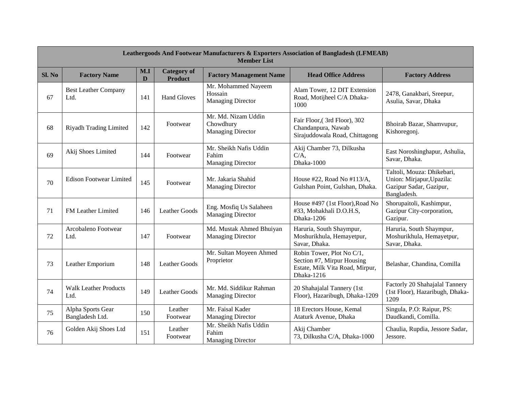|       | <b>Leathergoods And Footwear Manufacturers &amp; Exporters Association of Bangladesh (LFMEAB)</b><br><b>Member List</b> |          |                                      |                                                              |                                                                                                          |                                                                                                   |  |  |  |
|-------|-------------------------------------------------------------------------------------------------------------------------|----------|--------------------------------------|--------------------------------------------------------------|----------------------------------------------------------------------------------------------------------|---------------------------------------------------------------------------------------------------|--|--|--|
| SL No | <b>Factory Name</b>                                                                                                     | M.I<br>D | <b>Category</b> of<br><b>Product</b> | <b>Factory Management Name</b>                               | <b>Head Office Address</b>                                                                               | <b>Factory Address</b>                                                                            |  |  |  |
| 67    | <b>Best Leather Company</b><br>Ltd.                                                                                     | 141      | <b>Hand Gloves</b>                   | Mr. Mohammed Nayeem<br>Hossain<br><b>Managing Director</b>   | Alam Tower, 12 DIT Extension<br>Road, Motijheel C/A Dhaka-<br>1000                                       | 2478, Ganakbari, Sreepur,<br>Asulia, Savar, Dhaka                                                 |  |  |  |
| 68    | Riyadh Trading Limited                                                                                                  | 142      | Footwear                             | Mr. Md. Nizam Uddin<br>Chowdhury<br><b>Managing Director</b> | Fair Floor, (3rd Floor), 302<br>Chandanpura, Nawab<br>Sirajuddowala Road, Chittagong                     | Bhoirab Bazar, Shamvupur,<br>Kishoregonj.                                                         |  |  |  |
| 69    | Akij Shoes Limited                                                                                                      | 144      | Footwear                             | Mr. Sheikh Nafis Uddin<br>Fahim<br><b>Managing Director</b>  | Akij Chamber 73, Dilkusha<br>$C/A$ ,<br>Dhaka-1000                                                       | East Noroshinghapur, Ashulia,<br>Savar, Dhaka.                                                    |  |  |  |
| 70    | <b>Edison Footwear Limited</b>                                                                                          | 145      | Footwear                             | Mr. Jakaria Shahid<br><b>Managing Director</b>               | House #22, Road No #113/A,<br>Gulshan Point, Gulshan, Dhaka.                                             | Taltoli, Mouza: Dhikebari,<br>Union: Mirjapur, Upazila:<br>Gazipur Sadar, Gazipur,<br>Bangladesh. |  |  |  |
| 71    | FM Leather Limited                                                                                                      | 146      | <b>Leather Goods</b>                 | Eng. Mosfiq Us Salaheen<br><b>Managing Director</b>          | House #497 (1st Floor), Road No<br>#33, Mohakhali D.O.H.S,<br>Dhaka-1206                                 | Shorupaitoli, Kashimpur,<br>Gazipur City-corporation,<br>Gazipur.                                 |  |  |  |
| 72    | Arcobaleno Footwear<br>Ltd.                                                                                             | 147      | Footwear                             | Md. Mustak Ahmed Bhuiyan<br><b>Managing Director</b>         | Haruria, South Shaympur,<br>Moshurikhula, Hemayetpur,<br>Savar, Dhaka.                                   | Haruria, South Shaympur,<br>Moshurikhula, Hemayetpur,<br>Savar, Dhaka.                            |  |  |  |
| 73    | Leather Emporium                                                                                                        | 148      | <b>Leather Goods</b>                 | Mr. Sultan Moyeen Ahmed<br>Proprietor                        | Robin Tower, Plot No C/1,<br>Section #7, Mirpur Housing<br>Estate, Milk Vita Road, Mirpur,<br>Dhaka-1216 | Belashar, Chandina, Comilla                                                                       |  |  |  |
| 74    | <b>Walk Leather Products</b><br>Ltd.                                                                                    | 149      | <b>Leather Goods</b>                 | Mr. Md. Siddikur Rahman<br><b>Managing Director</b>          | 20 Shahajalal Tannery (1st<br>Floor), Hazaribugh, Dhaka-1209                                             | Factorly 20 Shahajalal Tannery<br>(1st Floor), Hazaribugh, Dhaka-<br>1209                         |  |  |  |
| 75    | Alpha Sports Gear<br>Bangladesh Ltd.                                                                                    | 150      | Leather<br>Footwear                  | Mr. Faisal Kader<br><b>Managing Director</b>                 | 18 Erectors House, Kemal<br>Ataturk Avenue, Dhaka                                                        | Singula, P.O: Raipur, PS:<br>Daudkandi, Comilla.                                                  |  |  |  |
| 76    | Golden Akij Shoes Ltd                                                                                                   | 151      | Leather<br>Footwear                  | Mr. Sheikh Nafis Uddin<br>Fahim<br><b>Managing Director</b>  | Akij Chamber<br>73, Dilkusha C/A, Dhaka-1000                                                             | Chaulia, Rupdia, Jessore Sadar,<br>Jessore.                                                       |  |  |  |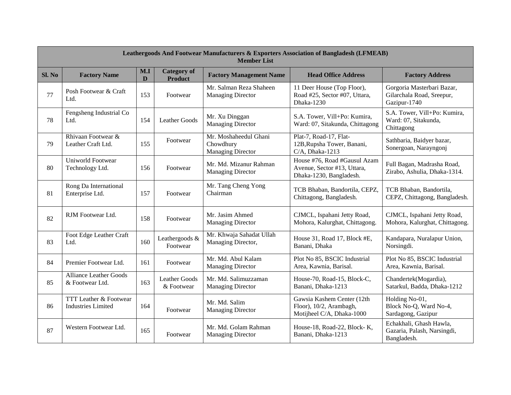|        | <b>Leathergoods And Footwear Manufacturers &amp; Exporters Association of Bangladesh (LFMEAB)</b><br><b>Member List</b> |          |                                      |                                                                |                                                                                        |                                                                         |  |  |  |
|--------|-------------------------------------------------------------------------------------------------------------------------|----------|--------------------------------------|----------------------------------------------------------------|----------------------------------------------------------------------------------------|-------------------------------------------------------------------------|--|--|--|
| Sl. No | <b>Factory Name</b>                                                                                                     | M.I<br>D | <b>Category</b> of<br><b>Product</b> | <b>Factory Management Name</b>                                 | <b>Head Office Address</b>                                                             | <b>Factory Address</b>                                                  |  |  |  |
| 77     | Posh Footwear & Craft<br>Ltd.                                                                                           | 153      | Footwear                             | Mr. Salman Reza Shaheen<br><b>Managing Director</b>            | 11 Deer House (Top Floor),<br>Road #25, Sector #07, Uttara,<br>Dhaka-1230              | Gorgoria Masterbari Bazar,<br>Gilarchala Road, Sreepur,<br>Gazipur-1740 |  |  |  |
| 78     | Fengsheng Industrial Co<br>Ltd.                                                                                         | 154      | Leather Goods                        | Mr. Xu Dinggan<br><b>Managing Director</b>                     | S.A. Tower, Vill+Po: Kumira,<br>Ward: 07, Sitakunda, Chittagong                        | S.A. Tower, Vill+Po: Kumira,<br>Ward: 07, Sitakunda,<br>Chittagong      |  |  |  |
| 79     | Rhivaan Footwear &<br>Leather Craft Ltd.                                                                                | 155      | Footwear                             | Mr. Moshaheedul Ghani<br>Chowdhury<br><b>Managing Director</b> | Plat-7, Road-17, Flat-<br>12B, Rupsha Tower, Banani,<br>C/A, Dhaka-1213                | Sathbaria, Baidyer bazar,<br>Sonergoan, Narayngonj                      |  |  |  |
| 80     | Uniworld Footwear<br>Technology Ltd.                                                                                    | 156      | Footwear                             | Mr. Md. Mizanur Rahman<br><b>Managing Director</b>             | House #76, Road #Gausul Azam<br>Avenue, Sector #13, Uttara,<br>Dhaka-1230, Bangladesh. | Full Bagan, Madrasha Road,<br>Zirabo, Ashulia, Dhaka-1314.              |  |  |  |
| 81     | Rong Da International<br>Enterprise Ltd.                                                                                | 157      | Footwear                             | Mr. Tang Cheng Yong<br>Chairman                                | TCB Bhaban, Bandortila, CEPZ,<br>Chittagong, Bangladesh.                               | TCB Bhaban, Bandortila,<br>CEPZ, Chittagong, Bangladesh.                |  |  |  |
| 82     | RJM Footwear Ltd.                                                                                                       | 158      | Footwear                             | Mr. Jasim Ahmed<br><b>Managing Director</b>                    | CJMCL, Ispahani Jetty Road,<br>Mohora, Kalurghat, Chittagong.                          | CJMCL, Ispahani Jetty Road,<br>Mohora, Kalurghat, Chittagong.           |  |  |  |
| 83     | Foot Edge Leather Craft<br>Ltd.                                                                                         | 160      | Leathergoods &<br>Footwear           | Mr. Khwaja Sahadat Ullah<br>Managing Director,                 | House 31, Road 17, Block #E,<br>Banani, Dhaka                                          | Kandapara, Nuralapur Union,<br>Norsingdi.                               |  |  |  |
| 84     | Premier Footwear Ltd.                                                                                                   | 161      | Footwear                             | Mr. Md. Abul Kalam<br><b>Managing Director</b>                 | Plot No 85, BSCIC Industrial<br>Area, Kawnia, Barisal.                                 | Plot No 85, BSCIC Industrial<br>Area, Kawnia, Barisal.                  |  |  |  |
| 85     | <b>Alliance Leather Goods</b><br>& Footwear Ltd.                                                                        | 163      | <b>Leather Goods</b><br>& Footwear   | Mr. Md. Salimuzzaman<br><b>Managing Director</b>               | House-70, Road-15, Block-C,<br>Banani, Dhaka-1213                                      | Chandertek(Mogardia),<br>Satarkul, Badda, Dhaka-1212                    |  |  |  |
| 86     | TTT Leather & Footwear<br><b>Industries Limited</b>                                                                     | 164      | Footwear                             | Mr. Md. Salim<br>Managing Director                             | Gawsia Kashem Center (12th<br>Floor), 10/2, Arambagh,<br>Motijheel C/A, Dhaka-1000     | Holding No-01,<br>Block No-Q, Ward No-4,<br>Sardagong, Gazipur          |  |  |  |
| 87     | Western Footwear Ltd.                                                                                                   | 165      | Footwear                             | Mr. Md. Golam Rahman<br><b>Managing Director</b>               | House-18, Road-22, Block-K,<br>Banani, Dhaka-1213                                      | Echakhali, Ghash Hawla,<br>Gazaria, Palash, Narsingdi,<br>Bangladesh.   |  |  |  |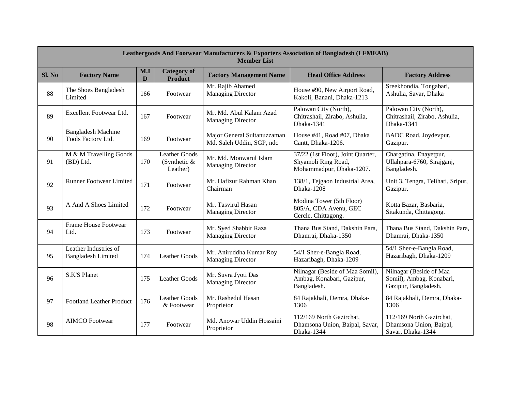|        | <b>Leathergoods And Footwear Manufacturers &amp; Exporters Association of Bangladesh (LFMEAB)</b><br><b>Member List</b> |          |                                                    |                                                          |                                                                                      |                                                                             |  |  |  |
|--------|-------------------------------------------------------------------------------------------------------------------------|----------|----------------------------------------------------|----------------------------------------------------------|--------------------------------------------------------------------------------------|-----------------------------------------------------------------------------|--|--|--|
| SI. No | <b>Factory Name</b>                                                                                                     | M.I<br>D | <b>Category</b> of<br><b>Product</b>               | <b>Factory Management Name</b>                           | <b>Head Office Address</b>                                                           | <b>Factory Address</b>                                                      |  |  |  |
| 88     | The Shoes Bangladesh<br>Limited                                                                                         | 166      | Footwear                                           | Mr. Rajib Ahamed<br><b>Managing Director</b>             | House #90, New Airport Road,<br>Kakoli, Banani, Dhaka-1213                           | Sreekhondia, Tongabari,<br>Ashulia, Savar, Dhaka                            |  |  |  |
| 89     | Excellent Footwear Ltd.                                                                                                 | 167      | Footwear                                           | Mr. Md. Abul Kalam Azad<br><b>Managing Director</b>      | Palowan City (North),<br>Chitrashail, Zirabo, Ashulia,<br>Dhaka-1341                 | Palowan City (North),<br>Chitrashail, Zirabo, Ashulia,<br>Dhaka-1341        |  |  |  |
| 90     | <b>Bangladesh Machine</b><br>Tools Factory Ltd.                                                                         | 169      | Footwear                                           | Major General Sultanuzzaman<br>Md. Saleh Uddin, SGP, ndc | House #41, Road #07, Dhaka<br>Cantt, Dhaka-1206.                                     | BADC Road, Joydevpur,<br>Gazipur.                                           |  |  |  |
| 91     | M & M Travelling Goods<br>(BD) Ltd.                                                                                     | 170      | <b>Leather Goods</b><br>(Synthetic $&$<br>Leather) | Mr. Md. Monwarul Islam<br><b>Managing Director</b>       | 37/22 (1st Floor), Joint Quarter,<br>Shyamoli Ring Road,<br>Mohammadpur, Dhaka-1207. | Chargatina, Enayetpur,<br>Ullahpara-6760, Sirajganj,<br>Bangladesh.         |  |  |  |
| 92     | <b>Runner Footwear Limited</b>                                                                                          | 171      | Footwear                                           | Mr. Hafizur Rahman Khan<br>Chairman                      | 138/1, Tejgaon Industrial Area,<br>Dhaka-1208                                        | Unit 3, Tengra, Telihati, Sripur,<br>Gazipur.                               |  |  |  |
| 93     | A And A Shoes Limited                                                                                                   | 172      | Footwear                                           | Mr. Tasvirul Hasan<br><b>Managing Director</b>           | Modina Tower (5th Floor)<br>805/A, CDA Avenu, GEC<br>Cercle, Chittagong.             | Kotta Bazar, Basbaria,<br>Sitakunda, Chittagong.                            |  |  |  |
| 94     | Frame House Footwear<br>Ltd.                                                                                            | 173      | Footwear                                           | Mr. Syed Shabbir Raza<br><b>Managing Director</b>        | Thana Bus Stand, Dakshin Para,<br>Dhamrai, Dhaka-1350                                | Thana Bus Stand, Dakshin Para,<br>Dhamrai, Dhaka-1350                       |  |  |  |
| 95     | Leather Industries of<br><b>Bangladesh Limited</b>                                                                      | 174      | Leather Goods                                      | Mr. Aniruddha Kumar Roy<br><b>Managing Director</b>      | 54/1 Sher-e-Bangla Road,<br>Hazaribagh, Dhaka-1209                                   | 54/1 Sher-e-Bangla Road,<br>Hazaribagh, Dhaka-1209                          |  |  |  |
| 96     | S.K'S Planet                                                                                                            | 175      | <b>Leather Goods</b>                               | Mr. Suvra Jyoti Das<br><b>Managing Director</b>          | Nilnagar (Beside of Maa Somil),<br>Ambag, Konabari, Gazipur,<br>Bangladesh.          | Nilnagar (Beside of Maa<br>Somil), Ambag, Konabari,<br>Gazipur, Bangladesh. |  |  |  |
| 97     | <b>Footland Leather Product</b>                                                                                         | 176      | <b>Leather Goods</b><br>& Footwear                 | Mr. Rashedul Hasan<br>Proprietor                         | 84 Rajakhali, Demra, Dhaka-<br>1306                                                  | 84 Rajakhali, Demra, Dhaka-<br>1306                                         |  |  |  |
| 98     | <b>AIMCO</b> Footwear                                                                                                   | 177      | Footwear                                           | Md. Anowar Uddin Hossaini<br>Proprietor                  | 112/169 North Gazirchat,<br>Dhamsona Union, Baipal, Savar,<br>Dhaka-1344             | 112/169 North Gazirchat,<br>Dhamsona Union, Baipal,<br>Savar, Dhaka-1344    |  |  |  |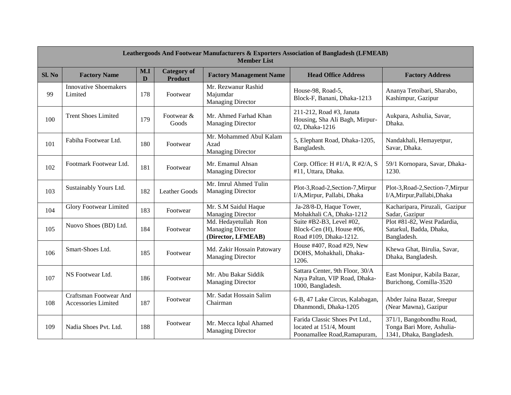|        | <b>Leathergoods And Footwear Manufacturers &amp; Exporters Association of Bangladesh (LFMEAB)</b><br><b>Member List</b> |          |                                      |                                                                        |                                                                                           |                                                                                   |  |  |  |
|--------|-------------------------------------------------------------------------------------------------------------------------|----------|--------------------------------------|------------------------------------------------------------------------|-------------------------------------------------------------------------------------------|-----------------------------------------------------------------------------------|--|--|--|
| Sl. No | <b>Factory Name</b>                                                                                                     | M.I<br>D | <b>Category</b> of<br><b>Product</b> | <b>Factory Management Name</b>                                         | <b>Head Office Address</b>                                                                | <b>Factory Address</b>                                                            |  |  |  |
| 99     | <b>Innovative Shoemakers</b><br>Limited                                                                                 | 178      | Footwear                             | Mr. Rezwanur Rashid<br>Majumdar<br><b>Managing Director</b>            | House-98, Road-5,<br>Block-F, Banani, Dhaka-1213                                          | Ananya Tetoibari, Sharabo,<br>Kashimpur, Gazipur                                  |  |  |  |
| 100    | <b>Trent Shoes Limited</b>                                                                                              | 179      | Footwear &<br>Goods                  | Mr. Ahmed Farhad Khan<br><b>Managing Director</b>                      | 211-212, Road #3, Janata<br>Housing, Sha Ali Bagh, Mirpur-<br>02, Dhaka-1216              | Aukpara, Ashulia, Savar,<br>Dhaka.                                                |  |  |  |
| 101    | Fabiha Footwear Ltd.                                                                                                    | 180      | Footwear                             | Mr. Mohammed Abul Kalam<br>Azad<br><b>Managing Director</b>            | 5, Elephant Road, Dhaka-1205,<br>Bangladesh.                                              | Nandakhali, Hemayetpur,<br>Savar, Dhaka.                                          |  |  |  |
| 102    | Footmark Footwear Ltd.                                                                                                  | 181      | Footwear                             | Mr. Emamul Ahsan<br><b>Managing Director</b>                           | Corp. Office: H #1/A, R #2/A, S<br>#11, Uttara, Dhaka.                                    | 59/1 Kornopara, Savar, Dhaka-<br>1230.                                            |  |  |  |
| 103    | Sustainably Yours Ltd.                                                                                                  | 182      | Leather Goods                        | Mr. Imrul Ahmed Tulin<br><b>Managing Director</b>                      | Plot-3, Road-2, Section-7, Mirpur<br>I/A, Mirpur, Pallabi, Dhaka                          | Plot-3, Road-2, Section-7, Mirpur<br>I/A, Mirpur, Pallabi, Dhaka                  |  |  |  |
| 104    | <b>Glory Footwear Limited</b>                                                                                           | 183      | Footwear                             | Mr. S.M Saidul Haque<br><b>Managing Director</b>                       | Ja-28/8-D, Haque Tower,<br>Mohakhali CA, Dhaka-1212                                       | Kacharipara, Piruzali, Gazipur<br>Sadar, Gazipur                                  |  |  |  |
| 105    | Nuovo Shoes (BD) Ltd.                                                                                                   | 184      | Footwear                             | Md. Hedayetullah Ron<br><b>Managing Director</b><br>(Director, LFMEAB) | Suite #B2-B3, Level #02,<br>Block-Cen (H), House #06,<br>Road #109, Dhaka-1212.           | Plot #81-82, West Padardia,<br>Satarkul, Badda, Dhaka,<br>Bangladesh.             |  |  |  |
| 106    | Smart-Shoes Ltd.                                                                                                        | 185      | Footwear                             | Md. Zakir Hossain Patowary<br><b>Managing Director</b>                 | House #407, Road #29, New<br>DOHS, Mohakhali, Dhaka-<br>1206.                             | Khewa Ghat, Birulia, Savar,<br>Dhaka, Bangladesh.                                 |  |  |  |
| 107    | NS Footwear Ltd.                                                                                                        | 186      | Footwear                             | Mr. Abu Bakar Siddik<br><b>Managing Director</b>                       | Sattara Center, 9th Floor, 30/A<br>Naya Paltan, VIP Road, Dhaka-<br>1000, Bangladesh.     | East Monipur, Kabila Bazar,<br>Burichong, Comilla-3520                            |  |  |  |
| 108    | Craftsman Footwear And<br>Accessories Limited                                                                           | 187      | Footwear                             | Mr. Sadat Hossain Salim<br>Chairman                                    | 6-B, 47 Lake Circus, Kalabagan,<br>Dhanmondi, Dhaka-1205                                  | Abder Jaina Bazar, Sreepur<br>(Near Mawna), Gazipur                               |  |  |  |
| 109    | Nadia Shoes Pvt. Ltd.                                                                                                   | 188      | Footwear                             | Mr. Mecca Iqbal Ahamed<br><b>Managing Director</b>                     | Farida Classic Shoes Pvt Ltd.,<br>located at 151/4, Mount<br>Poonamallee Road, Ramapuram, | 371/1, Bangobondhu Road,<br>Tonga Bari More, Ashulia-<br>1341, Dhaka, Bangladesh. |  |  |  |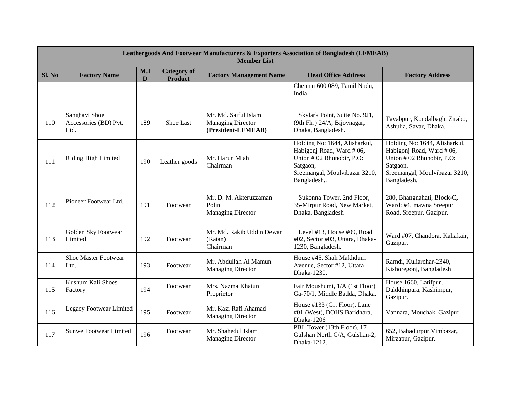|        | <b>Leathergoods And Footwear Manufacturers &amp; Exporters Association of Bangladesh (LFMEAB)</b><br><b>Member List</b> |          |                                      |                                                                        |                                                                                                                                                   |                                                                                                                                                   |  |  |  |
|--------|-------------------------------------------------------------------------------------------------------------------------|----------|--------------------------------------|------------------------------------------------------------------------|---------------------------------------------------------------------------------------------------------------------------------------------------|---------------------------------------------------------------------------------------------------------------------------------------------------|--|--|--|
| Sl. No | <b>Factory Name</b>                                                                                                     | M.I<br>D | <b>Category</b> of<br><b>Product</b> | <b>Factory Management Name</b>                                         | <b>Head Office Address</b>                                                                                                                        | <b>Factory Address</b>                                                                                                                            |  |  |  |
|        |                                                                                                                         |          |                                      |                                                                        | Chennai 600 089, Tamil Nadu,<br>India                                                                                                             |                                                                                                                                                   |  |  |  |
| 110    | Sanghavi Shoe<br>Accessories (BD) Pvt.<br>Ltd.                                                                          | 189      | Shoe Last                            | Mr. Md. Saiful Islam<br><b>Managing Director</b><br>(President-LFMEAB) | Skylark Point, Suite No. 9J1,<br>(9th Flr.) 24/A, Bijoynagar,<br>Dhaka, Bangladesh.                                                               | Tayabpur, Kondalbagh, Zirabo,<br>Ashulia, Savar, Dhaka.                                                                                           |  |  |  |
| 111    | Riding High Limited                                                                                                     | 190      | Leather goods                        | Mr. Harun Miah<br>Chairman                                             | Holding No: 1644, Alisharkul,<br>Habigonj Road, Ward # 06,<br>Union #02 Bhunobir, P.O:<br>Satgaon,<br>Sreemangal, Moulvibazar 3210,<br>Bangladesh | Holding No: 1644, Alisharkul,<br>Habigonj Road, Ward #06,<br>Union #02 Bhunobir, P.O:<br>Satgaon,<br>Sreemangal, Moulvibazar 3210,<br>Bangladesh. |  |  |  |
| 112    | Pioneer Footwear Ltd.                                                                                                   | 191      | Footwear                             | Mr. D. M. Akteruzzaman<br>Polin<br><b>Managing Director</b>            | Sukonna Tower, 2nd Floor,<br>35-Mirpur Road, New Market,<br>Dhaka, Bangladesh                                                                     | 280, Bhangnahati, Block-C,<br>Ward: #4, mawna Sreepur<br>Road, Sreepur, Gazipur.                                                                  |  |  |  |
| 113    | Golden Sky Footwear<br>Limited                                                                                          | 192      | Footwear                             | Mr. Md. Rakib Uddin Dewan<br>(Ratan)<br>Chairman                       | Level #13, House #09, Road<br>#02, Sector #03, Uttara, Dhaka-<br>1230, Bangladesh.                                                                | Ward #07, Chandora, Kaliakair,<br>Gazipur.                                                                                                        |  |  |  |
| 114    | <b>Shoe Master Footwear</b><br>Ltd.                                                                                     | 193      | Footwear                             | Mr. Abdullah Al Mamun<br><b>Managing Director</b>                      | House #45, Shah Makhdum<br>Avenue, Sector #12, Uttara,<br>Dhaka-1230.                                                                             | Ramdi, Kuliarchar-2340,<br>Kishoregonj, Bangladesh                                                                                                |  |  |  |
| 115    | Kushum Kali Shoes<br>Factory                                                                                            | 194      | Footwear                             | Mrs. Nazma Khatun<br>Proprietor                                        | Fair Moushumi, 1/A (1st Floor)<br>Ga-70/1, Middle Badda, Dhaka.                                                                                   | House 1660, Latifpur,<br>Dakkhinpara, Kashimpur,<br>Gazipur.                                                                                      |  |  |  |
| 116    | Legacy Footwear Limited                                                                                                 | 195      | Footwear                             | Mr. Kazi Rafi Ahamad<br><b>Managing Director</b>                       | House #133 (Gr. Floor), Lane<br>#01 (West), DOHS Baridhara,<br>Dhaka-1206                                                                         | Vannara, Mouchak, Gazipur.                                                                                                                        |  |  |  |
| 117    | <b>Sunwe Footwear Limited</b>                                                                                           | 196      | Footwear                             | Mr. Shahedul Islam<br><b>Managing Director</b>                         | PBL Tower (13th Floor), 17<br>Gulshan North C/A, Gulshan-2,<br>Dhaka-1212.                                                                        | 652, Bahadurpur, Vimbazar,<br>Mirzapur, Gazipur.                                                                                                  |  |  |  |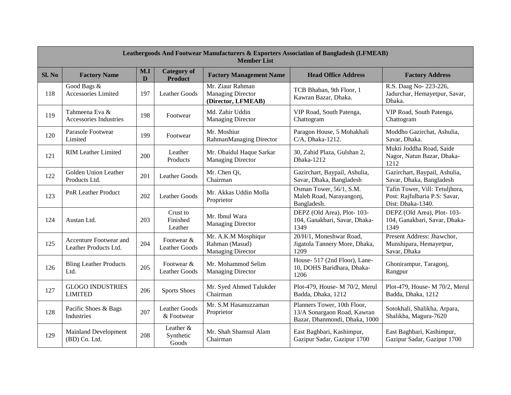| <b>Leathergoods And Footwear Manufacturers &amp; Exporters Association of Bangladesh (LFMEAB)</b><br><b>Member List</b> |                                                 |          |                                      |                                                                    |                                                                                             |                                                                                      |
|-------------------------------------------------------------------------------------------------------------------------|-------------------------------------------------|----------|--------------------------------------|--------------------------------------------------------------------|---------------------------------------------------------------------------------------------|--------------------------------------------------------------------------------------|
| Sl. No                                                                                                                  | <b>Factory Name</b>                             | M.I<br>D | <b>Category</b> of<br><b>Product</b> | <b>Factory Management Name</b>                                     | <b>Head Office Address</b>                                                                  | <b>Factory Address</b>                                                               |
| 118                                                                                                                     | Good Bags &<br>Accessories Limited              | 197      | <b>Leather Goods</b>                 | Mr. Ziaur Rahman<br><b>Managing Director</b><br>(Director, LFMEAB) | TCB Bhaban, 9th Floor, 1<br>Kawran Bazar, Dhaka.                                            | R.S. Daag No- 223-226,<br>Jadurchar, Hemayetpur, Savar,<br>Dhaka.                    |
| 119                                                                                                                     | Tahmeena Eva &<br>Accessories Industries        | 198      | Footwear                             | Md. Zahir Uddin<br><b>Managing Director</b>                        | VIP Road, South Patenga,<br>Chattogram                                                      | VIP Road, South Patenga,<br>Chattogram                                               |
| 120                                                                                                                     | Parasole Footwear<br>Limited                    | 199      | Footwear                             | Mr. Moshiur<br>RahmanManaging Director                             | Paragon House, 5 Mohakhali<br>C/A, Dhaka-1212.                                              | Moddho Gazirchat, Ashulia,<br>Savar, Dhaka.                                          |
| 121                                                                                                                     | <b>RIM Leather Limited</b>                      | 200      | Leather<br>Products                  | Mr. Obaidul Haque Sarkar<br><b>Managing Director</b>               | 30, Zahid Plaza, Gulshan 2,<br>Dhaka-1212                                                   | Mukti Joddha Road, Saide<br>Nagor, Natun Bazar, Dhaka-<br>1212                       |
| 122                                                                                                                     | Golden Union Leather<br>Products Ltd.           | 201      | <b>Leather Goods</b>                 | Mr. Chen Qi,<br>Chairman                                           | Gazirchart, Baypail, Ashulia,<br>Savar, Dhaka, Bangladesh                                   | Gazirchart, Baypail, Ashulia,<br>Savar, Dhaka, Bangladesh                            |
| 123                                                                                                                     | <b>PnR Leather Product</b>                      | 202      | <b>Leather Goods</b>                 | Mr. Akkas Uddin Molla<br>Proprietor                                | Osman Tower, 56/1, S.M.<br>Maleh Road, Narayangonj,<br>Bangladesh.                          | Tafin Tower, Vill: Tetuljhora,<br>Post: Rajfulbaria P.S: Savar,<br>Dist: Dhaka-1340. |
| 124                                                                                                                     | Austan Ltd.                                     | 203      | Crust to<br>Finished<br>Leather      | Mr. Ibnul Wara<br><b>Managing Director</b>                         | DEPZ (Old Area), Plot-103-<br>104, Ganakbari, Savar, Dhaka-<br>1349                         | DEPZ (Old Area), Plot-103-<br>104, Ganakbari, Savar, Dhaka-<br>1349                  |
| 125                                                                                                                     | Accenture Footwear and<br>Leather Products Ltd. | 204      | Footwear &<br><b>Leather Goods</b>   | Mr. A.K.M Mosphiqur<br>Rahman (Masud)<br><b>Managing Director</b>  | 20/H/1, Moneshwar Road,<br>Jigatola Tannery More, Dhaka,<br>1209                            | Present Address: Jhawchor,<br>Munshipara, Hemayetpur,<br>Savar, Dhaka                |
| 126                                                                                                                     | <b>Bling Leather Products</b><br>Ltd.           | 205      | Footwear &<br><b>Leather Goods</b>   | Mr. Mohammod Selim<br><b>Managing Director</b>                     | House- 517 (2nd Floor), Lane-<br>10, DOHS Baridhara, Dhaka-<br>1206                         | Ghonirampur, Taragonj,<br>Rangpur                                                    |
| 127                                                                                                                     | <b>GLOGO INDUSTRIES</b><br><b>LIMITED</b>       | 206      | <b>Sports Shoes</b>                  | Mr. Syed Ahmed Talukder<br>Chairman                                | Plot-479, House- M 70/2, Merul<br>Badda, Dhaka, 1212                                        | Plot-479, House- M 70/2, Merul<br>Badda, Dhaka, 1212                                 |
| 128                                                                                                                     | Pacific Shoes & Bags<br>Industries              | 207      | <b>Leather Goods</b><br>& Footwear   | Mr. S.M Hasanuzzaman<br>Proprietor                                 | Planners Tower, 10th Floor,<br>13/A Sonargaon Road, Kawran<br>Bazar, Dhanmondi, Dhaka, 1000 | Sotokhali, Shalikha, Arpara,<br>Shalikha, Magura-7620                                |
| 129                                                                                                                     | <b>Mainland Development</b><br>(BD) Co. Ltd.    | 208      | Leather $&$<br>Synthetic<br>Goods    | Mr. Shah Shamsul Alam<br>Chairman                                  | East Baghbari, Kashimpur,<br>Gazipur Sadar, Gazipur 1700                                    | East Baghbari, Kashimpur,<br>Gazipur Sadar, Gazipur 1700                             |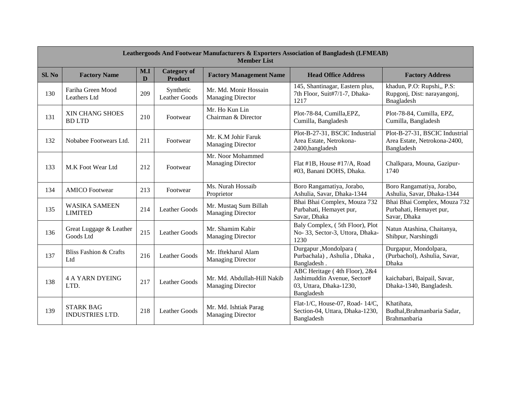| <b>Leathergoods And Footwear Manufacturers &amp; Exporters Association of Bangladesh (LFMEAB)</b><br><b>Member List</b> |                                            |                     |                                      |                                                         |                                                                                                       |                                                                              |
|-------------------------------------------------------------------------------------------------------------------------|--------------------------------------------|---------------------|--------------------------------------|---------------------------------------------------------|-------------------------------------------------------------------------------------------------------|------------------------------------------------------------------------------|
| Sl. No                                                                                                                  | <b>Factory Name</b>                        | M.I<br>$\mathbf{D}$ | <b>Category of</b><br><b>Product</b> | <b>Factory Management Name</b>                          | <b>Head Office Address</b>                                                                            | <b>Factory Address</b>                                                       |
| 130                                                                                                                     | Fariha Green Mood<br>Leathers Ltd          | 209                 | Synthetic<br><b>Leather Goods</b>    | Mr. Md. Monir Hossain<br><b>Managing Director</b>       | 145, Shantinagar, Eastern plus,<br>7th Floor, Suit#7/1-7, Dhaka-<br>1217                              | khadun, P.O: Rupshi,, P.S:<br>Rupgonj, Dist: narayangonj,<br>Bnagladesh      |
| 131                                                                                                                     | XIN CHANG SHOES<br><b>BDLTD</b>            | 210                 | Footwear                             | Mr. Ho Kun Lin<br>Chairman & Director                   | Plot-78-84, Cumilla, EPZ,<br>Cumilla, Bangladesh                                                      | Plot-78-84, Cumilla, EPZ,<br>Cumilla, Bangladesh                             |
| 132                                                                                                                     | Nobabee Footwears Ltd.                     | 211                 | Footwear                             | Mr. K.M Johir Faruk<br><b>Managing Director</b>         | Plot-B-27-31, BSCIC Industrial<br>Area Estate, Netrokona-<br>2400, bangladesh                         | Plot-B-27-31, BSCIC Industrial<br>Area Estate, Netrokona-2400,<br>Bangladesh |
| 133                                                                                                                     | M.K Foot Wear Ltd                          | 212                 | Footwear                             | Mr. Noor Mohammed<br><b>Managing Director</b>           | Flat #1B, House #17/A, Road<br>#03, Banani DOHS, Dhaka.                                               | Chalkpara, Mouna, Gazipur-<br>1740                                           |
| 134                                                                                                                     | <b>AMICO</b> Footwear                      | 213                 | Footwear                             | Ms. Nurah Hossaib<br>Proprietor                         | Boro Rangamatiya, Jorabo,<br>Ashulia, Savar, Dhaka-1344                                               | Boro Rangamatiya, Jorabo,<br>Ashulia, Savar, Dhaka-1344                      |
| 135                                                                                                                     | <b>WASIKA SAMEEN</b><br><b>LIMITED</b>     | 214                 | <b>Leather Goods</b>                 | Mr. Mustaq Sum Billah<br><b>Managing Director</b>       | Bhai Bhai Complex, Mouza 732<br>Purbahati, Hemayet pur,<br>Savar, Dhaka                               | Bhai Bhai Complex, Mouza 732<br>Purbahati, Hemayet pur,<br>Savar, Dhaka      |
| 136                                                                                                                     | Great Luggage & Leather<br>Goods Ltd       | 215                 | <b>Leather Goods</b>                 | Mr. Shamim Kabir<br><b>Managing Director</b>            | Baly Complex, (5th Floor), Plot<br>No- 33, Sector-3, Uttora, Dhaka-<br>1230                           | Natun Atashina, Chaitanya,<br>Shibpur, Narshingdi                            |
| 137                                                                                                                     | Bliss Fashion & Crafts<br>Ltd              | 216                 | Leather Goods                        | Mr. Iftekharul Alam<br><b>Managing Director</b>         | Durgapur, Mondolpara (<br>Purbachala), Ashulia, Dhaka,<br>Bangladesh.                                 | Durgapur, Mondolpara,<br>(Purbachol), Ashulia, Savar,<br>Dhaka               |
| 138                                                                                                                     | <b>4 A YARN DYEING</b><br>LTD.             | 217                 | Leather Goods                        | Mr. Md. Abdullah-Hill Nakib<br><b>Managing Director</b> | ABC Heritage (4th Floor), 2&4<br>Jashimuddin Avenue, Sector#<br>03, Uttara, Dhaka-1230,<br>Bangladesh | kaichabari, Baipail, Savar,<br>Dhaka-1340, Bangladesh.                       |
| 139                                                                                                                     | <b>STARK BAG</b><br><b>INDUSTRIES LTD.</b> | 218                 | <b>Leather Goods</b>                 | Mr. Md. Ishtiak Parag<br><b>Managing Director</b>       | Flat-1/C, House-07, Road-14/C,<br>Section-04, Uttara, Dhaka-1230,<br>Bangladesh                       | Khatihata,<br>Budhal, Brahmanbaria Sadar,<br>Brahmanbaria                    |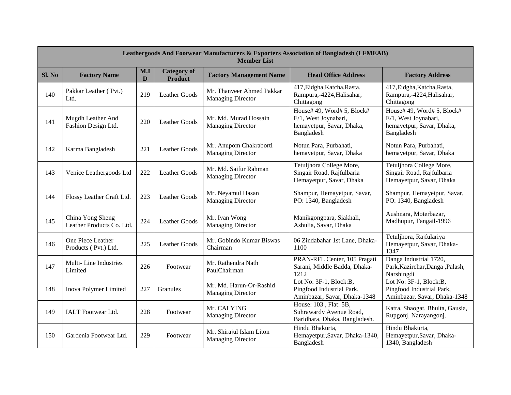| <b>Leathergoods And Footwear Manufacturers &amp; Exporters Association of Bangladesh (LFMEAB)</b><br><b>Member List</b> |                                               |          |                                      |                                                       |                                                                                               |                                                                                               |
|-------------------------------------------------------------------------------------------------------------------------|-----------------------------------------------|----------|--------------------------------------|-------------------------------------------------------|-----------------------------------------------------------------------------------------------|-----------------------------------------------------------------------------------------------|
| SI. No                                                                                                                  | <b>Factory Name</b>                           | M.I<br>D | <b>Category</b> of<br><b>Product</b> | <b>Factory Management Name</b>                        | <b>Head Office Address</b>                                                                    | <b>Factory Address</b>                                                                        |
| 140                                                                                                                     | Pakkar Leather (Pvt.)<br>Ltd.                 | 219      | <b>Leather Goods</b>                 | Mr. Thanveer Ahmed Pakkar<br><b>Managing Director</b> | 417, Eidgha, Katcha, Rasta,<br>Rampura,-4224, Halisahar,<br>Chittagong                        | 417, Eidgha, Katcha, Rasta,<br>Rampura,-4224, Halisahar,<br>Chittagong                        |
| 141                                                                                                                     | Mugdh Leather And<br>Fashion Design Ltd.      | 220      | <b>Leather Goods</b>                 | Mr. Md. Murad Hossain<br><b>Managing Director</b>     | House# 49, Word# 5, Block#<br>E/1, West Joynabari,<br>hemayetpur, Savar, Dhaka,<br>Bangladesh | House# 49, Word# 5, Block#<br>E/1, West Joynabari,<br>hemayetpur, Savar, Dhaka,<br>Bangladesh |
| 142                                                                                                                     | Karma Bangladesh                              | 221      | <b>Leather Goods</b>                 | Mr. Anupom Chakraborti<br><b>Managing Director</b>    | Notun Para, Purbahati,<br>hemayetpur, Savar, Dhaka                                            | Notun Para, Purbahati,<br>hemayetpur, Savar, Dhaka                                            |
| 143                                                                                                                     | Venice Leathergoods Ltd                       | 222      | <b>Leather Goods</b>                 | Mr. Md. Saifur Rahman<br><b>Managing Director</b>     | Tetuljhora College More,<br>Singair Road, Rajfulbaria<br>Hemayetpur, Savar, Dhaka             | Tetuljhora College More,<br>Singair Road, Rajfulbaria<br>Hemayetpur, Savar, Dhaka             |
| 144                                                                                                                     | Flossy Leather Craft Ltd.                     | 223      | <b>Leather Goods</b>                 | Mr. Neyamul Hasan<br><b>Managing Director</b>         | Shampur, Hemayetpur, Savar,<br>PO: 1340, Bangladesh                                           | Shampur, Hemayetpur, Savar,<br>PO: 1340, Bangladesh                                           |
| 145                                                                                                                     | China Yong Sheng<br>Leather Products Co. Ltd. | 224      | <b>Leather Goods</b>                 | Mr. Ivan Wong<br><b>Managing Director</b>             | Manikgongpara, Siakhali,<br>Ashulia, Savar, Dhaka                                             | Aushnara, Moterbazar,<br>Madhupur, Tangail-1996                                               |
| 146                                                                                                                     | One Piece Leather<br>Products (Pvt.) Ltd.     | 225      | <b>Leather Goods</b>                 | Mr. Gobindo Kumar Biswas<br>Chairman                  | 06 Zindabahar 1st Lane, Dhaka-<br>1100                                                        | Tetuljhora, Rajfulariya<br>Hemayetpur, Savar, Dhaka-<br>1347                                  |
| 147                                                                                                                     | Multi-Line Industries<br>Limited              | 226      | Footwear                             | Mr. Rathendra Nath<br>PaulChairman                    | PRAN-RFL Center, 105 Pragati<br>Sarani, Middle Badda, Dhaka-<br>1212                          | Danga Industrial 1720,<br>Park, Kazirchar, Danga, Palash,<br>Narshingdi                       |
| 148                                                                                                                     | Inova Polymer Limited                         | 227      | Granules                             | Mr. Md. Harun-Or-Rashid<br><b>Managing Director</b>   | Lot No: 3F-1, Block:B,<br>Pingfood Industrial Park,<br>Aminbazar, Savar, Dhaka-1348           | Lot No: 3F-1, Block:B,<br>Pingfood Industrial Park,<br>Aminbazar, Savar, Dhaka-1348           |
| 149                                                                                                                     | <b>IALT</b> Footwear Ltd.                     | 228      | Footwear                             | Mr. CAI YING<br>Managing Director                     | House: 103, Flat: 5B,<br>Suhrawardy Avenue Road,<br>Baridhara, Dhaka, Bangladesh.             | Katra, Shaogat, Bhulta, Gausia,<br>Rupgonj, Narayangonj.                                      |
| 150                                                                                                                     | Gardenia Footwear Ltd.                        | 229      | Footwear                             | Mr. Shirajul Islam Liton<br><b>Managing Director</b>  | Hindu Bhakurta,<br>Hemayetpur, Savar, Dhaka-1340,<br>Bangladesh                               | Hindu Bhakurta,<br>Hemayetpur, Savar, Dhaka-<br>1340, Bangladesh                              |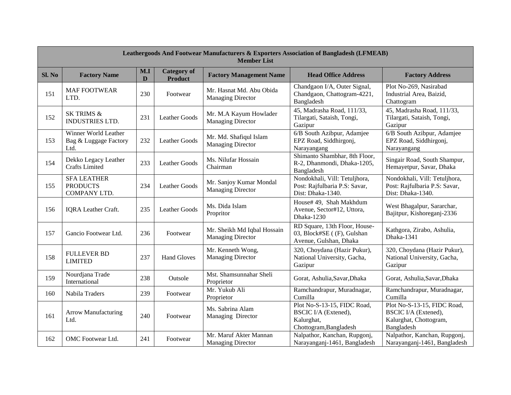| <b>Leathergoods And Footwear Manufacturers &amp; Exporters Association of Bangladesh (LFMEAB)</b><br><b>Member List</b> |                                                       |          |                                      |                                                         |                                                                                                    |                                                                                                    |
|-------------------------------------------------------------------------------------------------------------------------|-------------------------------------------------------|----------|--------------------------------------|---------------------------------------------------------|----------------------------------------------------------------------------------------------------|----------------------------------------------------------------------------------------------------|
| Sl. No                                                                                                                  | <b>Factory Name</b>                                   | M.I<br>D | <b>Category</b> of<br><b>Product</b> | <b>Factory Management Name</b>                          | <b>Head Office Address</b>                                                                         | <b>Factory Address</b>                                                                             |
| 151                                                                                                                     | <b>MAF FOOTWEAR</b><br>LTD.                           | 230      | Footwear                             | Mr. Hasnat Md. Abu Obida<br><b>Managing Director</b>    | Chandgaon I/A, Outer Signal,<br>Chandgaon, Chattogram-4221,<br>Bangladesh                          | Plot No-269, Nasirabad<br>Industrial Area, Baizid,<br>Chattogram                                   |
| 152                                                                                                                     | <b>SK TRIMS &amp;</b><br><b>INDUSTRIES LTD.</b>       | 231      | <b>Leather Goods</b>                 | Mr. M.A Kayum Howlader<br><b>Managing Director</b>      | 45, Madrasha Road, 111/33,<br>Tilargati, Sataish, Tongi,<br>Gazipur                                | 45, Madrasha Road, 111/33,<br>Tilargati, Sataish, Tongi,<br>Gazipur                                |
| 153                                                                                                                     | Winner World Leather<br>Bag & Luggage Factory<br>Ltd. | 232      | <b>Leather Goods</b>                 | Mr. Md. Shafiqul Islam<br><b>Managing Director</b>      | 6/B South Azibpur, Adamjee<br>EPZ Road, Siddhirgonj,<br>Narayangang                                | 6/B South Azibpur, Adamjee<br>EPZ Road, Siddhirgonj,<br>Narayangang                                |
| 154                                                                                                                     | Dekko Legacy Leather<br><b>Crafts Limited</b>         | 233      | Leather Goods                        | Ms. Nilufar Hossain<br>Chairman                         | Shimanto Shambhar, 8th Floor,<br>R-2, Dhanmondi, Dhaka-1205,<br>Bangladesh                         | Singair Road, South Shampur,<br>Hemayetpur, Savar, Dhaka                                           |
| 155                                                                                                                     | <b>SFA LEATHER</b><br><b>PRODUCTS</b><br>COMPANY LTD. | 234      | <b>Leather Goods</b>                 | Mr. Sanjoy Kumar Mondal<br><b>Managing Director</b>     | Nondokhali, Vill: Tetuljhora,<br>Post: Rajfulbaria P.S: Savar,<br>Dist: Dhaka-1340.                | Nondokhali, Vill: Tetuljhora,<br>Post: Rajfulbaria P.S: Savar,<br>Dist: Dhaka-1340.                |
| 156                                                                                                                     | <b>IQRA</b> Leather Craft.                            | 235      | <b>Leather Goods</b>                 | Ms. Dida Islam<br>Propritor                             | House# 49, Shah Makhdum<br>Avenue, Sector#12, Uttora,<br>Dhaka-1230                                | West Bhagalpur, Sararchar,<br>Bajitpur, Kishoreganj-2336                                           |
| 157                                                                                                                     | Gancio Footwear Ltd.                                  | 236      | Footwear                             | Mr. Sheikh Md Iqbal Hossain<br><b>Managing Director</b> | RD Square, 13th Floor, House-<br>03, Block#SE ((F), Gulshan<br>Avenue, Gulshan, Dhaka              | Kathgora, Zirabo, Ashulia,<br>Dhaka-1341                                                           |
| 158                                                                                                                     | <b>FULLEVER BD</b><br><b>LIMITED</b>                  | 237      | <b>Hand Gloves</b>                   | Mr. Kenneth Wong,<br><b>Managing Director</b>           | 320, Choydana (Hazir Pukur),<br>National University, Gacha,<br>Gazipur                             | 320, Choydana (Hazir Pukur),<br>National University, Gacha,<br>Gazipur                             |
| 159                                                                                                                     | Nourdjana Trade<br>International                      | 238      | Outsole                              | Mst. Shamsunnahar Sheli<br>Proprietor                   | Gorat, Ashulia, Savar, Dhaka                                                                       | Gorat, Ashulia, Savar, Dhaka                                                                       |
| 160                                                                                                                     | Nabila Traders                                        | 239      | Footwear                             | Mr. Yukub Ali<br>Proprietor                             | Ramchandrapur, Muradnagar,<br>Cumilla                                                              | Ramchandrapur, Muradnagar,<br>Cumilla                                                              |
| 161                                                                                                                     | <b>Arrow Manufacturing</b><br>Ltd.                    | 240      | Footwear                             | Ms. Sabrina Alam<br>Managing Director                   | Plot No-S-13-15, FIDC Road,<br><b>BSCIC I/A (Extened),</b><br>Kalurghat,<br>Chottogram, Bangladesh | Plot No-S-13-15, FIDC Road,<br><b>BSCIC I/A (Extened),</b><br>Kalurghat, Chottogram,<br>Bangladesh |
| 162                                                                                                                     | OMC Footwear Ltd.                                     | 241      | Footwear                             | Mr. Maruf Akter Mannan<br><b>Managing Director</b>      | Nalpathor, Kanchan, Rupgonj,<br>Narayanganj-1461, Bangladesh                                       | Nalpathor, Kanchan, Rupgonj,<br>Narayanganj-1461, Bangladesh                                       |